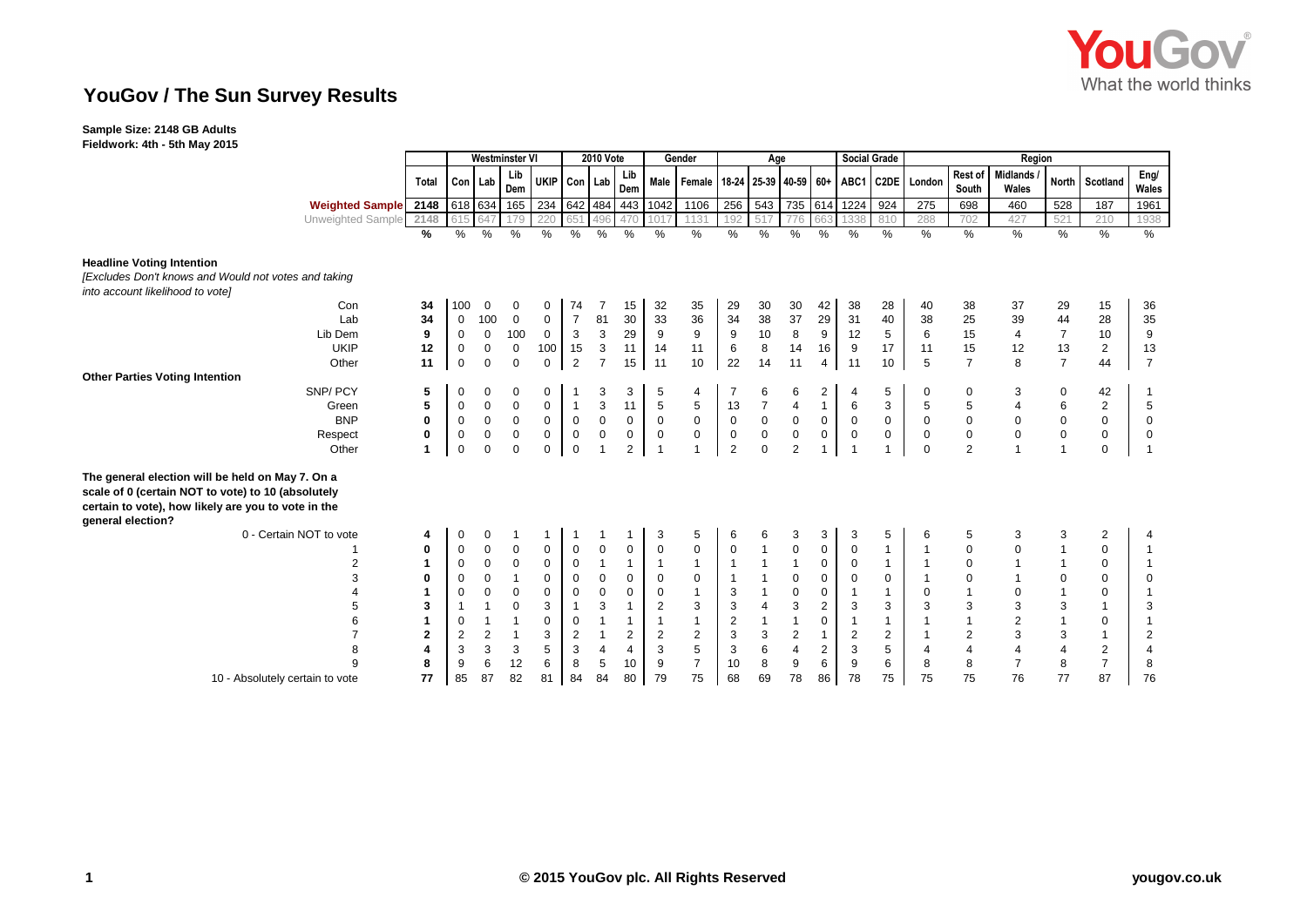

# **YouGov / The Sun Survey Results**

### **Sample Size: 2148 GB Adults**

**Fieldwork: 4th - 5th May 2015**

|                                                                                                                                                                                    |                | <b>Westminster VI</b> |                  |                     |             |                | <b>2010 Vote</b>          |                |                      | Gender           |                           | Age                     |                           |                |                         | <b>Social Grade</b> | Region                                                             |                |                           |                         |                |                |
|------------------------------------------------------------------------------------------------------------------------------------------------------------------------------------|----------------|-----------------------|------------------|---------------------|-------------|----------------|---------------------------|----------------|----------------------|------------------|---------------------------|-------------------------|---------------------------|----------------|-------------------------|---------------------|--------------------------------------------------------------------|----------------|---------------------------|-------------------------|----------------|----------------|
|                                                                                                                                                                                    | Total          |                       | Con Lab          | Lib<br>Dem          | UKIP        | Con Lab        |                           | Lib<br>Dem     |                      |                  |                           |                         |                           |                |                         |                     | Male   Female   18-24   25-39   40-59   60+   ABC1   C2DE   London | South          | Rest of Midlands<br>Wales | <b>North</b>            | Scotland       | Eng/<br>Wales  |
| Weighted Sample 2148                                                                                                                                                               |                |                       | 618 634          | 165                 |             |                |                           |                | 234 642 484 443 1042 | 1106             | 256                       | 543                     |                           |                | 735 614 1224            | 924                 | $\overline{275}$                                                   | 698            | 460                       | 528                     | 187            | 1961           |
| Unweighted Sample 2148                                                                                                                                                             |                | 615                   | 647              | 179                 | 220         | 651            | 496                       | 470            | 1017                 | 1131             | 192                       | 517                     | 776                       | 663            | 1338                    | 810                 | 288                                                                | 702            | 427                       | 521                     | 210            | 1938           |
|                                                                                                                                                                                    | %              | %                     | %                | %                   | %           | $\%$           | %                         | %              | %                    | %                | %                         | %                       | %                         | %              | %                       | %                   | %                                                                  | %              | $\frac{9}{6}$             | %                       | $\frac{9}{6}$  | %              |
| <b>Headline Voting Intention</b>                                                                                                                                                   |                |                       |                  |                     |             |                |                           |                |                      |                  |                           |                         |                           |                |                         |                     |                                                                    |                |                           |                         |                |                |
| [Excludes Don't knows and Would not votes and taking                                                                                                                               |                |                       |                  |                     |             |                |                           |                |                      |                  |                           |                         |                           |                |                         |                     |                                                                    |                |                           |                         |                |                |
| into account likelihood to vote]                                                                                                                                                   |                |                       |                  |                     |             |                |                           |                |                      |                  |                           |                         |                           |                |                         |                     |                                                                    |                |                           |                         |                |                |
| Con                                                                                                                                                                                | 34             | 100                   | $\mathbf 0$      | 0                   | 0           | 74             |                           | 15             | 32                   | 35               | 29                        | 30                      | 30                        | 42             | 38                      | 28                  | 40                                                                 | 38             | 37                        | 29                      | 15             | 36             |
| Lab                                                                                                                                                                                | 34             | $\mathbf 0$           | 100              | $\mathsf{O}\xspace$ | $\mathbf 0$ | $\overline{7}$ | 81                        | 30             | 33                   | 36               | 34                        | 38                      | 37                        | 29             | 31                      | 40                  | 38                                                                 | 25             | 39                        | 44                      | 28             | 35             |
| Lib Dem                                                                                                                                                                            | 9              | $\pmb{0}$             | $\boldsymbol{0}$ | 100                 | $\mathbf 0$ | $\mathbf{3}$   | $\ensuremath{\mathsf{3}}$ | 29             | 9                    | $\boldsymbol{9}$ | $\boldsymbol{9}$          | $10$                    | $\bf8$                    | 9              | 12                      | 5                   | 6                                                                  | 15             | 4                         | $\overline{7}$          | 10             | 9              |
| <b>UKIP</b>                                                                                                                                                                        | 12             | $\mathbf 0$           | $\mathbf 0$      | $\boldsymbol{0}$    | 100         | 15             | $\ensuremath{\mathsf{3}}$ | 11             | 14                   | 11               | $\,6\,$                   | 8                       | 14                        | 16             | 9                       | 17                  | 11                                                                 | 15             | 12                        | 13                      | $\overline{2}$ | 13             |
| Other                                                                                                                                                                              | 11             | $\mathbf 0$           | $\mathbf 0$      | $\mathsf 0$         | $\mathbf 0$ | $\overline{2}$ | $\overline{7}$            | 15             | 11                   | 10               | 22                        | 14                      | 11                        | $\overline{4}$ | 11                      | 10                  | 5                                                                  | $\overline{7}$ | 8                         | $\overline{7}$          | 44             | $\overline{7}$ |
| <b>Other Parties Voting Intention</b>                                                                                                                                              |                |                       |                  |                     |             |                |                           |                |                      |                  |                           |                         |                           |                |                         |                     |                                                                    |                |                           |                         |                |                |
| SNP/PCY                                                                                                                                                                            | 5              | 0                     | $\mathbf 0$      | 0                   | 0           |                | 3                         | 3              | 5                    | $\overline{4}$   | 7                         | 6                       | 6                         | $\overline{2}$ | 4                       | 5                   | $\mathbf 0$                                                        | $\mathbf 0$    | 3                         | 0                       | 42             |                |
| Green                                                                                                                                                                              | 5              | 0                     | $\pmb{0}$        | $\pmb{0}$           | $\mathbf 0$ | $\mathbf{1}$   | 3                         | 11             | $\sqrt{5}$           | $\,$ 5 $\,$      | 13                        | $\overline{7}$          | $\overline{\mathbf{4}}$   | $\mathbf{1}$   | $\,6\,$                 | 3                   | 5                                                                  | 5              | 4                         | 6                       | $\overline{2}$ | $\,$ 5 $\,$    |
| <b>BNP</b>                                                                                                                                                                         | $\mathbf{0}$   | $\mathbf 0$           | $\mathbf 0$      | $\mathbf 0$         | 0           | $\pmb{0}$      | $\mathsf 0$               | 0              | $\mathbf 0$          | $\mathbf 0$      | $\mathbf 0$               | $\mathsf{O}\xspace$     | $\mathbf 0$               | $\mathbf 0$    | $\mathbf 0$             | $\mathbf 0$         | 0                                                                  | 0              | 0                         | $\mathbf 0$             | $\mathbf 0$    | $\mathbf 0$    |
| Respect                                                                                                                                                                            | 0              | $\mathbf 0$           | $\mathbf 0$      | $\mathbf 0$         | $\mathbf 0$ | $\mathbf 0$    | $\boldsymbol{0}$          | 0              | $\boldsymbol{0}$     | $\mathbf 0$      | $\pmb{0}$                 | $\mathbf 0$             | $\pmb{0}$                 | $\mathbf 0$    | $\boldsymbol{0}$        | $\mathbf 0$         | $\mathbf 0$                                                        | 0              | $\boldsymbol{0}$          | $\mathbf 0$             | $\mathbf 0$    | $\mathbf 0$    |
| Other                                                                                                                                                                              | 1              | $\mathbf 0$           | $\mathbf 0$      | $\mathbf 0$         | $\mathbf 0$ | $\mathbf 0$    |                           | $\overline{2}$ | $\overline{1}$       | $\overline{1}$   | 2                         | $\Omega$                | $\overline{2}$            |                | $\overline{1}$          |                     | $\mathbf 0$                                                        | $\overline{2}$ |                           | $\mathbf{1}$            | $\mathbf 0$    | $\mathbf{1}$   |
| The general election will be held on May 7. On a<br>scale of 0 (certain NOT to vote) to 10 (absolutely<br>certain to vote), how likely are you to vote in the<br>general election? |                |                       |                  |                     |             |                |                           |                |                      |                  |                           |                         |                           |                |                         |                     |                                                                    |                |                           |                         |                |                |
| 0 - Certain NOT to vote                                                                                                                                                            | 4              | 0                     | $\mathbf 0$      | 1                   | 1           | -1             |                           |                | 3                    | 5                | 6                         | 6                       | 3                         | 3              | 3                       | 5                   | 6                                                                  | 5              | 3                         | 3                       | 2              | 4              |
|                                                                                                                                                                                    | 0              | $\mathbf 0$           | $\mathbf 0$      | $\mathbf 0$         | 0           | $\mathbf 0$    | $\mathbf 0$               | 0              | $\pmb{0}$            | $\mathbf 0$      | $\mathbf 0$               | $\mathbf{1}$            | $\pmb{0}$                 | 0              | 0                       |                     | $\mathbf{1}$                                                       | 0              | $\pmb{0}$                 | $\mathbf{1}$            | $\mathbf 0$    | $\mathbf{1}$   |
| $\overline{2}$                                                                                                                                                                     | 1              | $\mathbf 0$           | $\mathbf 0$      | $\mathbf 0$         | $\mathbf 0$ | $\mathbf 0$    | $\mathbf{1}$              | $\mathbf{1}$   | $\mathbf{1}$         | $\mathbf{1}$     | $\mathbf{1}$              | $\mathbf{1}$            | $\mathbf{1}$              | 0              | 0                       | $\mathbf{1}$        | $\mathbf{1}$                                                       | 0              |                           | $\mathbf{1}$            | $\mathbf 0$    | $\mathbf{1}$   |
| 3                                                                                                                                                                                  | 0              | 0                     | $\mathsf 0$      | $\mathbf{1}$        | 0           | $\mathbf 0$    | $\mathbf 0$               | 0              | 0                    | $\mathbf 0$      | $\mathbf{1}$              |                         | $\mathsf 0$               | 0              | 0                       | $\mathbf 0$         | $\mathbf 1$                                                        | 0              |                           | 0                       | $\mathbf 0$    | $\mathbf 0$    |
|                                                                                                                                                                                    |                | 0                     | $\mathbf 0$      | $\pmb{0}$           | $\mathbf 0$ | $\mathbf 0$    | $\pmb{0}$                 | 0              | $\pmb{0}$            | $\mathbf{1}$     | 3                         |                         | $\pmb{0}$                 | 0              | $\overline{1}$          | $\mathbf{1}$        | $\mathbf 0$                                                        |                | $\pmb{0}$                 | $\mathbf{1}$            | $\mathbf 0$    | $\mathbf{1}$   |
| 5                                                                                                                                                                                  | 3              | $\overline{1}$        |                  | $\mathsf 0$         | 3           | $\mathbf{1}$   | 3                         | $\mathbf{1}$   | $\overline{2}$       | $\mathsf 3$      | $\ensuremath{\mathsf{3}}$ | $\overline{\mathbf{4}}$ | $\ensuremath{\mathsf{3}}$ | $\overline{2}$ | 3                       | 3                   | 3                                                                  | $\mathsf 3$    | 3                         | 3                       | $\mathbf 1$    | 3              |
| 6                                                                                                                                                                                  |                | 0                     |                  | $\overline{1}$      | 0           | $\mathbf 0$    |                           | $\overline{1}$ | $\mathbf{1}$         | $\mathbf{1}$     | $\boldsymbol{2}$          | $\mathbf{1}$            | $\overline{1}$            | 0              | $\overline{1}$          | $\mathbf 1$         | $\mathbf{1}$                                                       |                | $\boldsymbol{2}$          | $\mathbf{1}$            | $\mathbf 0$    | $\mathbf{1}$   |
|                                                                                                                                                                                    | $\overline{2}$ | 2                     | $\overline{2}$   | $\mathbf{1}$        | 3           | $\overline{2}$ |                           | 2              | $\overline{2}$       | $\overline{c}$   | 3                         | 3                       | $\boldsymbol{2}$          | $\mathbf{1}$   | $\overline{\mathbf{c}}$ | $\overline{2}$      | $\mathbf{1}$                                                       | 2              | 3                         | 3                       | $\mathbf{1}$   | $\overline{c}$ |
| 8                                                                                                                                                                                  | $\overline{4}$ | 3                     | 3                | $\sqrt{3}$          | 5           | 3              | $\overline{4}$            | $\overline{4}$ | 3                    | $\,$ 5 $\,$      | $\mathbf 3$               | 6                       | $\overline{4}$            | $\overline{2}$ | 3                       | 5                   | 4                                                                  | 4              | 4                         | $\overline{\mathbf{4}}$ | 2              | $\overline{4}$ |
| $\mathbf{Q}$                                                                                                                                                                       | 8              | 9                     | 6                | 12                  | 6           | 8              | 5                         | 10             | 9                    | $\overline{7}$   | 10                        | 8                       | 9                         | 6              | 9                       | 6                   | 8                                                                  | 8              | $\overline{7}$            | 8                       | $\overline{7}$ | 8              |
| 10 - Absolutely certain to vote                                                                                                                                                    | 77             | 85                    | 87               | 82                  | 81          | 84             | 84                        | 80             | 79                   | 75               | 68                        | 69                      | 78                        | 86             | 78                      | 75                  | 75                                                                 | 75             | 76                        | 77                      | 87             | 76             |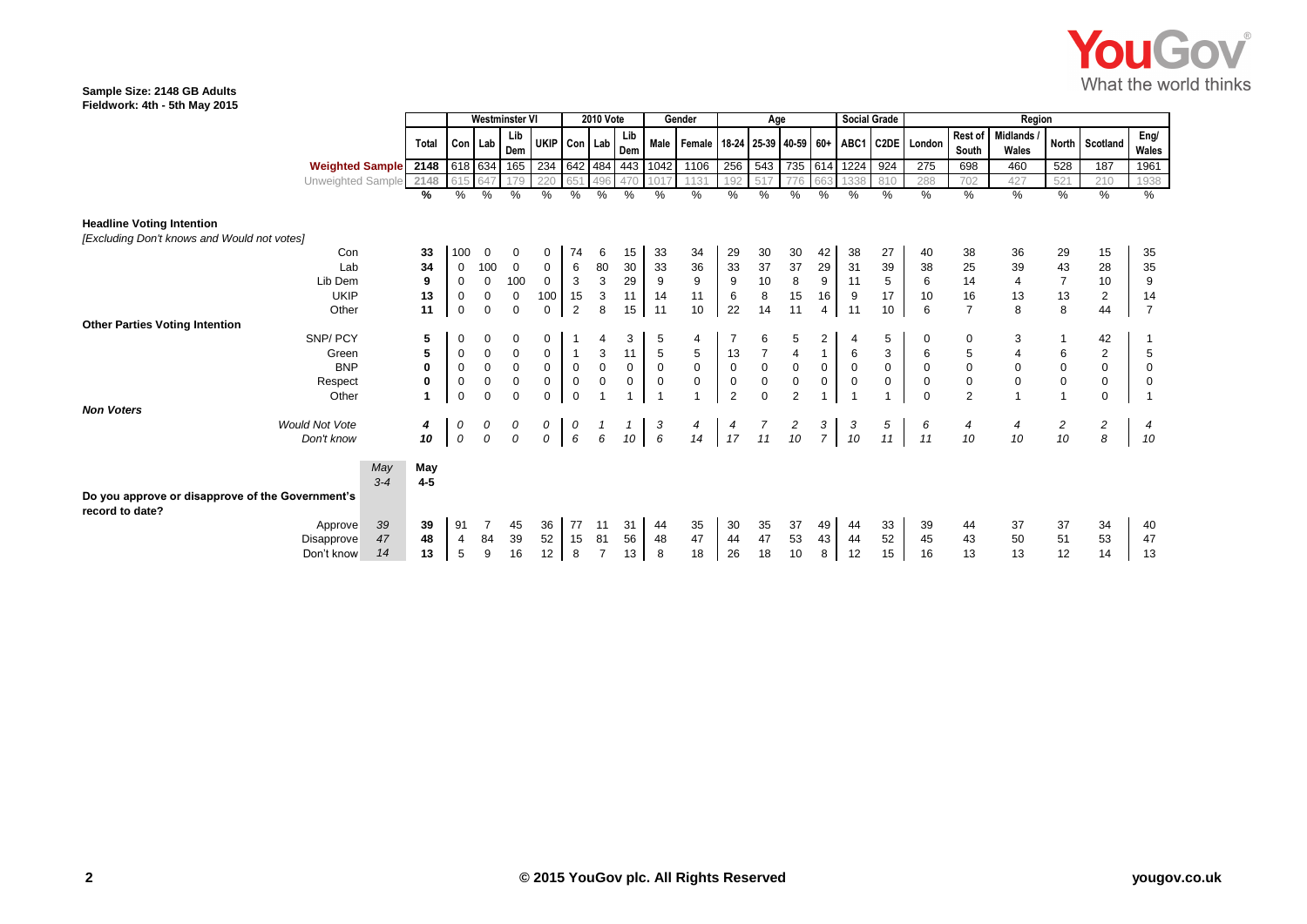

#### **Sample Size: 2148 GB Adults Fieldwork: 4th - 5th May 2015**

|                                                                     |                                  | <b>Westminster VI</b> |             |                     | <b>2010 Vote</b> |             |                  |              | Gender               |                                                    | Age              |                                        |                     |                | <b>Social Grade</b> | Region      |             |                  |                          |                |                |                |
|---------------------------------------------------------------------|----------------------------------|-----------------------|-------------|---------------------|------------------|-------------|------------------|--------------|----------------------|----------------------------------------------------|------------------|----------------------------------------|---------------------|----------------|---------------------|-------------|-------------|------------------|--------------------------|----------------|----------------|----------------|
|                                                                     | Total                            |                       | Con Lab     | Lib<br>Dem          | UKIP             | Con Lab     |                  | Lib<br>Dem   |                      | Male   Female   18-24   25-39   40-59   60+   ABC1 |                  |                                        |                     |                |                     |             | C2DE London | Rest of<br>South | <b>Midlands</b><br>Wales |                | North Scotland | Eng/<br>Wales  |
| Weighted Sample 2148                                                |                                  |                       | 618 634     | 165                 |                  |             |                  |              | 234 642 484 443 1042 | 1106                                               | 256              | 543                                    |                     |                | 735 614 1224        | 924         | 275         | 698              | 460                      | 528            | 187            | 1961           |
| Unweighted Sample 2148                                              |                                  | 615                   | 647         | 179                 | 220              | 651         | 496              | 470          | 1017                 | 1131                                               | 192              | 517                                    | 776                 | 663            | 1338                | 810         | 288         | 702              | 427                      | 521            | 210            | 1938           |
|                                                                     | %                                | %                     | %           | %                   | %                | %           | %                | $\%$         | $\frac{0}{0}$        | %                                                  | %                | %                                      | $\%$                | %              | $\frac{0}{0}$       | %           | %           | $\%$             | %                        | %              | %              | %              |
| <b>Headline Voting Intention</b>                                    |                                  |                       |             |                     |                  |             |                  |              |                      |                                                    |                  |                                        |                     |                |                     |             |             |                  |                          |                |                |                |
| [Excluding Don't knows and Would not votes]                         |                                  |                       |             |                     |                  |             |                  |              |                      |                                                    |                  |                                        |                     |                |                     |             |             |                  |                          |                |                |                |
| Con                                                                 | 33                               | 100                   | 0           | 0                   | 0                | 74          | 6                | 15           | 33                   | 34                                                 | 29               | 30                                     | 30                  | 42             | 38                  | 27          | 40          | 38               | 36                       | 29             | 15             | 35             |
| Lab                                                                 | 34                               | $\mathbf 0$           | 100         | $\mathbf 0$         | 0                | 6           | 80               | 30           | 33                   | 36                                                 | 33               | 37                                     | 37                  | 29             | 31                  | 39          | 38          | 25               | 39                       | 43             | 28             | 35             |
| Lib Dem                                                             | 9                                | 0                     | $\mathbf 0$ | 100                 | 0                | 3           | $\sqrt{3}$       | 29           | 9                    | $\boldsymbol{9}$                                   | $\boldsymbol{9}$ | 10                                     | 8                   | 9              | 11                  | 5           | 6           | 14               | $\overline{4}$           | $\overline{7}$ | 10             | 9              |
| <b>UKIP</b>                                                         | 13                               | $\mathbf 0$           | 0           | $\mathbf 0$         | 100              | 15          | $\sqrt{3}$       | 11           | 14                   | 11                                                 | 6                | 8                                      | 15                  | 16             | 9                   | 17          | 10          | 16               | 13                       | 13             | $\overline{2}$ | 14             |
| Other                                                               | 11                               | 0                     | 0           | $\mathbf 0$         | 0                | 2           | 8                | 15           | 11                   | 10                                                 | 22               | 14                                     | 11                  | $\overline{4}$ | 11                  | 10          | 6           | $\overline{7}$   | 8                        | 8              | 44             | $\overline{7}$ |
| <b>Other Parties Voting Intention</b>                               |                                  |                       |             |                     |                  |             |                  |              |                      |                                                    |                  |                                        |                     |                |                     |             |             |                  |                          |                |                |                |
| SNP/PCY                                                             | 5                                | 0                     | 0           | $\mathbf 0$         | 0                |             | 4                | 3            | 5                    | 4                                                  |                  | 6                                      | 5                   | $\overline{2}$ |                     | 5           | 0           | 0                | 3                        |                | 42             |                |
| Green                                                               | 5                                | 0                     | $\mathbf 0$ | 0                   | 0                |             | 3                | 11           | $\,$ 5 $\,$          | 5                                                  | 13               | $\overline{7}$                         | $\overline{4}$      | $\mathbf{1}$   | 6                   | 3           | 6           | 5                | 4                        | 6              | $\overline{2}$ | 5              |
| <b>BNP</b>                                                          | 0                                | 0                     | $\mathbf 0$ | $\mathsf{O}\xspace$ | $\mathbf 0$      | $\mathbf 0$ | $\mathbf 0$      | 0            | $\mathsf 0$          | $\mathsf 0$                                        | $\mathbf 0$      | $\mathbf 0$                            | $\mathsf{O}\xspace$ | $\mathbf 0$    | $\mathbf 0$         | $\mathsf 0$ | 0           | 0                | $\mathbf 0$              | $\mathbf 0$    | $\mathbf 0$    | $\mathbf 0$    |
| Respect                                                             | $\mathbf 0$                      | 0                     | $\mathbf 0$ | $\mathbf 0$         | $\mathbf 0$      | $\mathbf 0$ | $\boldsymbol{0}$ | $\mathbf{0}$ | $\mathbf 0$          | $\mathbf 0$                                        | $\mathbf 0$      | $\pmb{0}$                              | $\mathbf 0$         | $\mathsf 0$    | $\mathbf 0$         | 0           | $\mathbf 0$ | $\pmb{0}$        | $\mathbf 0$              | $\mathbf 0$    | $\mathbf 0$    | $\mathbf 0$    |
| Other                                                               |                                  | $\mathbf 0$           | $\Omega$    | $\mathbf 0$         | $\Omega$         | $\mathbf 0$ |                  |              |                      | $\overline{1}$                                     | $\overline{2}$   | $\Omega$                               | $\overline{2}$      |                |                     |             | $\mathbf 0$ | 2                |                          | $\mathbf{1}$   | $\mathbf 0$    |                |
| <b>Non Voters</b>                                                   |                                  |                       |             |                     |                  |             |                  |              |                      |                                                    |                  |                                        |                     |                |                     |             |             |                  |                          |                |                |                |
| <b>Would Not Vote</b>                                               | 4                                | 0                     | 0           | 0                   | 0                | 0           |                  |              | 3                    | 4                                                  | 4                | $\begin{array}{c} 7 \\ 11 \end{array}$ | $\frac{2}{10}$      | $\frac{3}{7}$  | 3                   | 5           | 6           | 4                | 4                        | $\overline{c}$ | $\overline{c}$ | 4              |
| Don't know                                                          | 10                               | 0                     | 0           | 0                   | 0                | 6           | 6                | 10           | $\boldsymbol{6}$     | 14                                                 | 17               |                                        |                     |                | 10                  | 11          | 11          | 10               | 10                       | 10             | 8              | 10             |
|                                                                     | May<br>May<br>$3 - 4$<br>$4 - 5$ |                       |             |                     |                  |             |                  |              |                      |                                                    |                  |                                        |                     |                |                     |             |             |                  |                          |                |                |                |
| Do you approve or disapprove of the Government's<br>record to date? |                                  |                       |             |                     |                  |             |                  |              |                      |                                                    |                  |                                        |                     |                |                     |             |             |                  |                          |                |                |                |
| Approve                                                             | 39<br>39                         | 91                    |             | 45                  | 36               | 77          | 11               | 31           | 44                   | 35                                                 | 30               | 35                                     | 37                  | 49             | 44                  | 33          | 39          | 44               | 37                       | 37             | 34             | 40             |
| Disapprove                                                          | 47<br>48                         | 4                     | 84          | 39                  | 52               | 15          | 81               | 56           | 48                   | 47                                                 | 44               | 47                                     | 53                  | 43             | 44                  | 52          | 45          | 43               | 50                       | 51             | 53             | 47             |
| Don't know                                                          | 13<br>14                         | 5                     | 9           | 16                  | 12               | 8           | $\overline{7}$   | 13           | 8                    | 18                                                 | 26               | 18                                     | 10                  | 8              | 12                  | 15          | 16          | 13               | 13                       | 12             | 14             | 13             |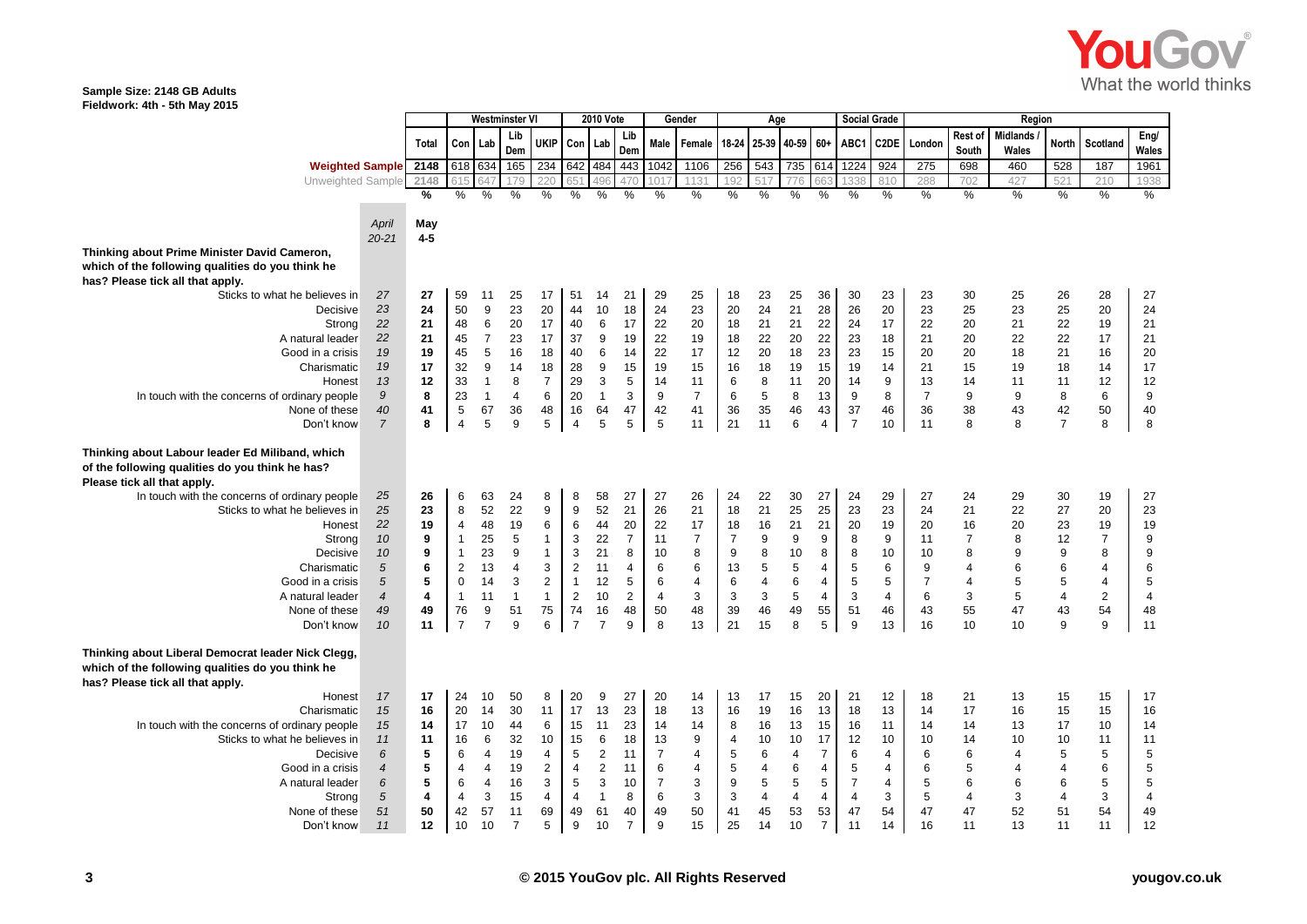

#### **Sample Size: 2148 GB Adults Fieldwork: 4th - 5th May 2015**

|                                                                                                        |                    | Westminster VI |                         |                | <b>2010 Vote</b> |                |                | Gender         |                | Age            |                    |                | <b>Social Grade</b> |                |                |                  |                   | Region         |                  |                   |                |                |                  |
|--------------------------------------------------------------------------------------------------------|--------------------|----------------|-------------------------|----------------|------------------|----------------|----------------|----------------|----------------|----------------|--------------------|----------------|---------------------|----------------|----------------|------------------|-------------------|----------------|------------------|-------------------|----------------|----------------|------------------|
|                                                                                                        |                    | Total          | Con                     | Lab            | Lib<br>Dem       | UKIP           | Con            | Lab            | Lib<br>Dem     | Male           | Female 18-24 25-39 |                |                     | 40-59          | 60+            | ABC1             | C <sub>2</sub> DE | London         | Rest of<br>South | Midlands<br>Wales | North          | Scotland       | Eng/<br>Wales    |
| <b>Weighted Sample</b>                                                                                 |                    | 2148           | 618 634                 |                | 165              | 234 642 484    |                |                | 443            | 1042           | 1106               | 256            | 543                 | 735            | 614            | 1224             | 924               | 275            | 698              | 460               | 528            | 187            | 1961             |
| Unweighted Sample                                                                                      |                    | 2148           | 615                     |                | 179              |                |                |                |                |                | 1131               | 192            | 517                 | 776            | 663            | 1338             | 810               | 288            | 702              | 427               | 521            | 210            | 1938             |
|                                                                                                        |                    | $\frac{9}{6}$  | $\%$                    | %              | %                | $\%$           | %              | %              | $\frac{0}{0}$  | %              | %                  | $\%$           | $\%$                | $\%$           | $\%$           | $\%$             | $\%$              | $\%$           | $\%$             | $\%$              | %              | $\%$           | %                |
|                                                                                                        |                    |                |                         |                |                  |                |                |                |                |                |                    |                |                     |                |                |                  |                   |                |                  |                   |                |                |                  |
|                                                                                                        | April<br>$20 - 21$ | May<br>$4 - 5$ |                         |                |                  |                |                |                |                |                |                    |                |                     |                |                |                  |                   |                |                  |                   |                |                |                  |
| Thinking about Prime Minister David Cameron,                                                           |                    |                |                         |                |                  |                |                |                |                |                |                    |                |                     |                |                |                  |                   |                |                  |                   |                |                |                  |
| which of the following qualities do you think he                                                       |                    |                |                         |                |                  |                |                |                |                |                |                    |                |                     |                |                |                  |                   |                |                  |                   |                |                |                  |
| has? Please tick all that apply.                                                                       |                    |                |                         |                |                  |                |                |                |                |                |                    |                |                     |                |                |                  |                   |                |                  |                   |                |                |                  |
| Sticks to what he believes in                                                                          | 27                 | 27             | 59                      | 11             | 25               | 17             | 51             | 14             | 21             | 29             | 25                 | 18             | 23                  | 25             | 36             | 30               | 23                | 23             | 30               | 25                | 26             | 28             | 27               |
| Decisive                                                                                               | 23                 | 24             | 50                      | 9              | 23               | 20             | 44             | 10             | 18             | 24             | 23                 | 20             | 24                  | 21             | 28             | 26               | 20                | 23             | 25               | 23                | 25             | 20             | 24               |
| Strong                                                                                                 | 22                 | 21             | 48                      | 6              | 20               | 17             | 40             | 6              | 17             | 22             | 20                 | 18             | 21                  | 21             | 22             | 24               | 17                | 22             | 20               | 21                | 22             | 19             | 21               |
| A natural leader                                                                                       | 22                 | 21             | 45                      | $\overline{7}$ | 23               | 17             | 37             | 9              | 19             | 22             | 19                 | 18             | 22                  | 20             | 22             | 23               | 18                | 21             | 20               | 22                | 22             | 17             | 21               |
| Good in a crisis                                                                                       | 19                 | 19             | 45                      | 5              | 16               | 18             | 40             | 6              | 14             | 22             | 17                 | 12             | 20                  | 18             | 23             | 23               | 15                | 20             | 20               | 18                | 21             | 16             | 20               |
| Charismatic                                                                                            | 19                 | 17             | 32                      | 9              | 14               | 18             | 28             | 9              | 15             | 19             | 15                 | 16             | 18                  | 19             | 15             | 19               | 14                | 21             | 15               | 19                | 18             | 14             | 17               |
| Honest                                                                                                 | 13                 | 12             | 33                      | $\mathbf{1}$   | 8                | $\overline{7}$ | 29             | 3              | 5              | 14             | 11                 | 6              | 8                   | 11             | 20             | 14               | 9                 | 13             | 14               | 11                | 11             | 12             | 12               |
| In touch with the concerns of ordinary people                                                          | $\mathfrak{g}$     | 8              | 23                      | $\overline{1}$ | 4                | 6              | 20             | $\overline{1}$ | 3              | 9              | $\overline{7}$     | 6              | 5                   | 8              | 13             | 9                | 8                 | $\overline{7}$ | 9                | 9                 | 8              | 6              | $\boldsymbol{9}$ |
| None of these                                                                                          | 40                 | 41             | 5                       | 67             | 36               | 48             | 16             | 64             | 47             | 42             | 41                 | 36             | 35                  | 46             | 43             | 37               | 46                | 36             | 38               | 43                | 42             | 50             | 40               |
| Don't know                                                                                             | $\overline{7}$     | 8              | $\overline{4}$          | 5              | 9                | 5              | $\overline{4}$ | 5              | 5              | 5              | 11                 | 21             | 11                  | 6              | $\overline{4}$ | $\overline{7}$   | 10                | 11             | 8                | 8                 | $\overline{7}$ | 8              | 8                |
| Thinking about Labour leader Ed Miliband, which<br>of the following qualities do you think he has?     |                    |                |                         |                |                  |                |                |                |                |                |                    |                |                     |                |                |                  |                   |                |                  |                   |                |                |                  |
| Please tick all that apply.                                                                            |                    |                |                         |                |                  |                |                |                |                |                |                    |                |                     |                |                |                  |                   |                |                  |                   |                |                |                  |
| In touch with the concerns of ordinary people                                                          | 25                 | 26             | 6                       | 63             | 24               | 8              | 8              | 58             | 27             | 27             | 26                 | 24             | 22                  | 30             | 27             | 24               | 29                | 27             | 24               | 29                | 30             | 19             | 27               |
| Sticks to what he believes in                                                                          | 25                 | 23             | 8                       | 52             | 22               | 9              | 9              | 52             | 21             | 26             | 21                 | 18             | 21                  | 25             | 25             | 23               | 23                | 24             | 21               | 22                | 27             | 20             | 23               |
| Honest                                                                                                 | 22                 | 19             | $\overline{\mathbf{4}}$ | 48             | 19               | 6              | 6              | 44             | 20             | 22             | 17                 | 18             | 16                  | 21             | 21             | 20               | 19                | 20             | 16               | 20                | 23             | 19             | 19               |
| Strong                                                                                                 | 10                 | 9              | $\mathbf{1}$            | 25             | 5                | $\mathbf{1}$   | 3              | 22             | $\overline{7}$ | 11             | $\overline{7}$     | $\overline{7}$ | 9                   | 9              | 9              | 8                | 9                 | 11             | $\overline{7}$   | 8                 | 12             | $\overline{7}$ | 9                |
| Decisive                                                                                               | 10                 | 9              | $\mathbf{1}$            | 23             | 9                | $\mathbf{1}$   | 3              | 21             | 8              | 10             | 8                  | 9              | 8                   | 10             | 8              | 8                | 10                | 10             | 8                | 9                 | 9              | 8              | 9                |
| Charismatic                                                                                            | 5                  | 6              | $\sqrt{2}$              | 13             | 4                | 3              | $\overline{2}$ | 11             | 4              | 6              | 6                  | 13             | 5                   | 5              | $\overline{4}$ | 5                | 6                 | 9              |                  | 6                 | 6              | 4              | $\,6$            |
| Good in a crisis                                                                                       | 5                  | 5              | $\mathsf 0$             | 14             | 3                | 2              | $\mathbf{1}$   | 12             | 5              | 6              | 4                  | $\,6\,$        | $\overline{4}$      | 6              | $\overline{4}$ | 5                | 5                 | $\overline{7}$ |                  | 5                 | $\,$ 5 $\,$    | $\overline{4}$ | 5                |
| A natural leader                                                                                       | $\boldsymbol{4}$   | 4              | $\mathbf{1}$            | 11             | $\overline{1}$   | $\mathbf{1}$   | 2              | 10             | 2              | 4              | 3                  | 3              | 3                   | $\sqrt{5}$     | $\overline{4}$ | 3                | 4                 | 6              | 3                | 5                 | 4              | $\sqrt{2}$     | $\overline{4}$   |
| None of these                                                                                          | 49                 | 49             | 76                      | 9              | 51               | 75             | 74             | 16             | 48             | 50             | 48                 | 39             | 46                  | 49             | 55             | 51               | 46                | 43             | 55               | 47                | 43             | 54             | 48               |
| Don't know                                                                                             | 10                 | 11             | $\overline{7}$          | $\overline{7}$ | 9                | 6              | $\overline{7}$ | $\overline{7}$ | 9              | 8              | 13                 | 21             | 15                  | 8              | 5              | $\boldsymbol{9}$ | 13                | 16             | 10               | 10                | 9              | 9              | 11               |
| Thinking about Liberal Democrat leader Nick Clegg,<br>which of the following qualities do you think he |                    |                |                         |                |                  |                |                |                |                |                |                    |                |                     |                |                |                  |                   |                |                  |                   |                |                |                  |
| has? Please tick all that apply.                                                                       |                    |                |                         |                |                  |                |                |                |                |                |                    |                |                     |                |                |                  |                   |                |                  |                   |                |                |                  |
| Honest<br>Charismatic                                                                                  | 17<br>15           | 17<br>16       | 24<br>20                | 10<br>14       | 50<br>30         | 8<br>11        | 20<br>17       | 9<br>13        | 27<br>23       | 20<br>18       | 14<br>13           | 13<br>16       | 17<br>19            | 15<br>16       | 20<br>13       | 21<br>18         | 12<br>13          | 18<br>14       | 21<br>17         | 13<br>16          | 15<br>15       | 15<br>15       | 17               |
| In touch with the concerns of ordinary people                                                          | 15                 | 14             | 17                      | 10             | 44               | 6              | 15             | 11             | 23             | 14             | 14                 | 8              | 16                  | 13             | 15             | 16               | 11                | 14             | 14               | 13                | 17             | 10             | 16               |
| Sticks to what he believes in                                                                          | 11                 | 11             | 16                      | 6              | 32               | 10             | 15             | 6              | 18             | 13             | 9                  | 4              | 10                  | 10             | 17             | 12               | 10                | 10             | 14               | 10                | 10             | 11             | 14<br>11         |
| Decisive                                                                                               | 6                  | 5              | 6                       | $\overline{4}$ | 19               | 4              | 5              | $\sqrt{2}$     | 11             | $\overline{7}$ | 4                  | $\sqrt{5}$     | 6                   | $\overline{4}$ | $\overline{7}$ | 6                | 4                 | 6              | 6                | $\overline{4}$    | 5              | 5              | 5                |
| Good in a crisis                                                                                       | $\overline{4}$     | 5              | 4                       | $\overline{4}$ | 19               | $\overline{2}$ | 4              | $\sqrt{2}$     | 11             | $\,6$          | 4                  | $\sqrt{5}$     | 4                   | 6              | 4              | 5                | 4                 | 6              | 5                | 4                 | 4              | 6              | 5                |
| A natural leader                                                                                       | 6                  | 5              | 6                       | 4              | 16               | 3              | 5              | 3              | 10             | $\overline{7}$ | 3                  | 9              | 5                   | 5              | 5              | $\overline{7}$   | 4                 | 5              | 6                | 6                 | 6              | 5              | 5                |
| Strong                                                                                                 | 5                  | 4              | $\overline{4}$          | 3              | 15               | 4              | 4              | $\mathbf{1}$   | 8              | 6              | 3                  | $\mathbf{3}$   | $\overline{4}$      | $\overline{4}$ | $\overline{4}$ | 4                | 3                 | 5              | 4                | 3                 | 4              | $\sqrt{3}$     | $\overline{4}$   |
| None of these                                                                                          | 51                 | 50             | 42                      | 57             | 11               | 69             | 49             | 61             | 40             | 49             | 50                 | 41             | 45                  | 53             | 53             | 47               | 54                | 47             | 47               | 52                | 51             | 54             | 49               |
| Don't know                                                                                             | 11                 | 12             | 10                      | 10             | $\overline{7}$   | 5              | 9              | 10             | $\overline{7}$ | 9              | 15                 | 25             | 14                  | 10             | $\overline{7}$ | 11               | 14                | 16             | 11               | 13                | 11             | 11             | 12               |
|                                                                                                        |                    |                |                         |                |                  |                |                |                |                |                |                    |                |                     |                |                |                  |                   |                |                  |                   |                |                |                  |